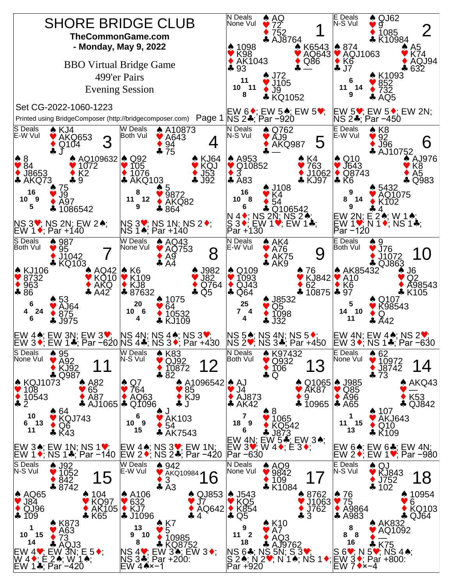